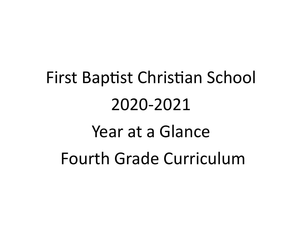# First Baptist Christian School 2020-2021 Year at a Glance Fourth Grade Curriculum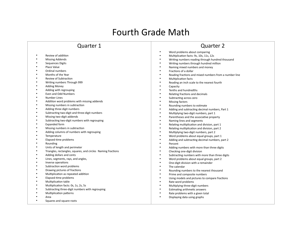### Fourth Grade Math

#### Quarter 1

- Review of addition
- Missing Addends
- Sequences Digits
- Place Value
- Ordinal numbers
- Months of the Year
- Review of Subtraction
- Writing numbers Through 999
- Adding Money
- Adding with regrouping
- Even and Odd Numbers
- Number Lines
- Addition word problems with missing addends
- Missing numbers in subtraction
- Adding three digit numbers
- Subtracting two-digit and three-digit numbers<br>• Missing two-digit addonds
- Missing two-digit addends
- Subtracting two-digit numbers with regrouping
- Expanded form
- Missing numbers in subtraction
- Adding columns of numbers with regrouping
- Temperature
- Elapsed-time problems
- Rounding
- Units of length and perimeter
- Triangles, rectangles, squares, and circles Naming fractions
- Adding dollars and cents
- Lines, segments, rays, and angles,
- Inverse operations
- Subtraction word problems
- Drawing pictures of fractions
- Multiplication as repeated addition
- Elapsed-time problems
- Multiplication table
- Multiplication facts: 0s, 1s, 2s, 5s
- Subtracting three-digit numbers with regrouping
- Multiplication patterns
- Area
- Squares and square roots

- Word problems about comparing
- Multiplication facts: 9s, 10s, 11s, 12s
- Writing numbers reading through hundred thousand
- Writing numbers through hundred million
- Naming mixed numbers and money
- Fractions of a dollar
- Reading fractions and mixed numbers from a number line
- Multiplication facts
- Reading an inch scale to the nearest fourth
- **Capacity**
- Tenths and hundredths
- Relating fractions and decimals
- Subtracting across zero
- Missing factors
- Rounding numbers to estimate
- Adding and subtracting decimal numbers, Part 1
- Multiplying two-digit numbers, part 1
- Parentheses and the associative property
- Naming lines and segments
- Relating multiplication and division, part 1
- Relating multiplication and division, part 2
- Multiplying two-digit numbers, part 2
- Word problems about equal groups, part 1
- Adding and subtracting decimal numbers, part 2
- **Percent**
- Adding numbers with more than three digits
- Checking one-digit division
- Subtracting numbers with more than three digits
- Word problems about equal groups, part 2
- One-digit division with a remainder
- The calendar
- Rounding numbers to the nearest thousand
- Prime and composite numbers
- Using models and pictures to compare fractions
- Rate word problems
- Multiplying three-digit numbers
- Estimating arithmetic answers
- Rate problems with a given total
- Displaying data using graphs
-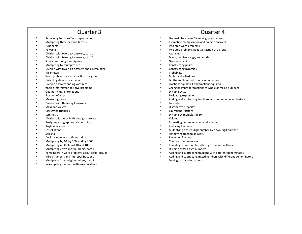- Remaining frac tionsTwo-step equa tions
- Mul tiplying three or more factors
- Exponents<br>• Polygons
- Polygons
- Division with two-digit answers, part 1
- Division with two-digit answers, part 2
- Similar and congruent figures
- Multiplying by multiples of 10
- Division with two-digit answers and a remainder
- Millimeters
- Word problems about a fraction of a group
- Collecting data with surveys
- Division answers ending with zero
- finding information to solve problems
- Geometric transformations
- Fraction of a set
- Measuring turns
- Division with three-digit answers
- Mass and weight
- Classifying triangles
- Symmetry
- Division with zeros in three-digit answers
- Analyzing and graphing relationships
- Angle measures
- Tessellations
- Sales tax
- Decimal numbers to thousandths
- Multiplying by 10, by 100, and by 1000
- Multiplying multiples of 10 and 100
- Multiplying 2 two-digit numbers, part 1
- Remainders in word problems about equal groups
- Mixed numbers and improper fractions
- Multiplying 2 two-digit numbers, part 2
- Investigating fractions with manipulatives
- Quarter 4
- Decimal place valueClassifying quadrilaterals
- Estimating multiplication and division answers
- Two-step word problems
- Two-step problems about a fraction of a group
- **Average**
- Mean, median, range, and mode
- Geometric solids
- Constructing prisms
- Constructing pyramids
- **Probability**
- Tables and schedules
- Tenths and hundredths on a number line
- Fractions equal to 1 and fractions equal to  $\frac{1}{2}$
- Changing improper fractions to whole or mixed numbers
- Dividing by 10
- Evaluating expressions
- Adding and subtracting fractions with common denominators
- **Formulas**
- Distributive property
- Equivalent fractions
- Dividing by multiples of 10
- Volume
- Estimating perimeter, area, and volume
- Reducing fractions
- Multiplying a three-digit number by a two-digit number
- Simplifying fraction answers
- Renaming fractions
- Common denominators
- Rounding whole numbers through hundred millions
- Dividing by two-digit numbers
- Adding and subtracting fractions with different denominators
- Adding and subtracting mixed numbers with different denominators
- Solving balanced equations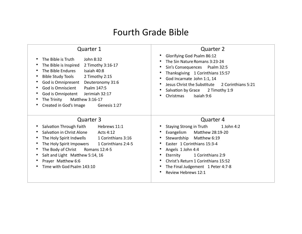## Fourth Grade Bible

| <b>Quarter 1</b><br>The Bible is Truth<br>John 8:32<br>$\bullet$<br>2 Timothy 3:16-17<br>The Bible is Inspired<br>The Bible Endures<br>Isaiah 40:8<br><b>Bible Study Tools</b><br>2 Timothy 2:15<br>$\bullet$<br>God is Omnipresent<br>Deuteronomy 31:6<br>$\bullet$<br>God is Omniscient<br>Psalm 147:5<br>$\bullet$<br>God is Omnipotent Jerimiah 32:17<br>$\bullet$<br>Matthew 3:16-17<br>The Trinity<br>Created in God's Image<br>Genesis 1:27<br>٠ | Quarter 2<br>Glorifying God Psalm 86:12<br>The Sin Nature Romans 3:23-24<br>Sin's Consequences Psalm 32:5<br>Thanksgiving 1 Corinthians 15:57<br>God Incarnate John 1:1, 14<br>Jesus Christ the Substitute<br>2 Corinthians 5:21<br>Salvation by Grace 2 Timothy 1:9<br>Christmas<br>Isaiah 9:6 |
|---------------------------------------------------------------------------------------------------------------------------------------------------------------------------------------------------------------------------------------------------------------------------------------------------------------------------------------------------------------------------------------------------------------------------------------------------------|-------------------------------------------------------------------------------------------------------------------------------------------------------------------------------------------------------------------------------------------------------------------------------------------------|
| Quarter 3                                                                                                                                                                                                                                                                                                                                                                                                                                               | Quarter 4                                                                                                                                                                                                                                                                                       |
| Hebrews 11:1                                                                                                                                                                                                                                                                                                                                                                                                                                            | Staying Strong in Truth                                                                                                                                                                                                                                                                         |
| Salvation Through Faith                                                                                                                                                                                                                                                                                                                                                                                                                                 | 1 John 4:2                                                                                                                                                                                                                                                                                      |
| $\bullet$                                                                                                                                                                                                                                                                                                                                                                                                                                               | Evangelism                                                                                                                                                                                                                                                                                      |
| Salvation in Christ Alone Acts 4:12                                                                                                                                                                                                                                                                                                                                                                                                                     | Matthew 28:19-20                                                                                                                                                                                                                                                                                |
| The Holy Spirit Indwells 1 Corinthians 3:16                                                                                                                                                                                                                                                                                                                                                                                                             | Stewardship                                                                                                                                                                                                                                                                                     |
| $\bullet$                                                                                                                                                                                                                                                                                                                                                                                                                                               | Matthew 6:19                                                                                                                                                                                                                                                                                    |
| 1 Corinthians 2:4-5                                                                                                                                                                                                                                                                                                                                                                                                                                     | Easter 1 Corinthians 15:3-4                                                                                                                                                                                                                                                                     |
| The Holy Spirit Impowers                                                                                                                                                                                                                                                                                                                                                                                                                                | Angels 1 John 4:4                                                                                                                                                                                                                                                                               |
| The Body of Christ                                                                                                                                                                                                                                                                                                                                                                                                                                      | Eternity                                                                                                                                                                                                                                                                                        |
| Romans 12:4-5                                                                                                                                                                                                                                                                                                                                                                                                                                           | 1 Corinthians 2:9                                                                                                                                                                                                                                                                               |
| Salt and Light Matthew 5:14, 16                                                                                                                                                                                                                                                                                                                                                                                                                         | Christ's Return 1 Corinthians 15:52                                                                                                                                                                                                                                                             |
| Prayer Matthew 6:6                                                                                                                                                                                                                                                                                                                                                                                                                                      | The Final Judgement 1 Peter 4:7-8                                                                                                                                                                                                                                                               |
| Time with God Psalm 143:10                                                                                                                                                                                                                                                                                                                                                                                                                              | Review Hebrews 12:1                                                                                                                                                                                                                                                                             |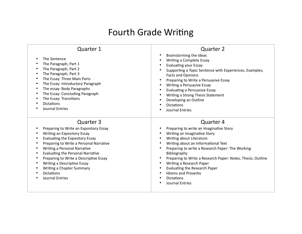### Fourth Grade Writing

| Quarter 1                                                                                                                                                                                                                                                                                                                                                                                                             | <b>Quarter 2</b>                                                                                                                                                                                                                                                                                                                                                                                                                                         |
|-----------------------------------------------------------------------------------------------------------------------------------------------------------------------------------------------------------------------------------------------------------------------------------------------------------------------------------------------------------------------------------------------------------------------|----------------------------------------------------------------------------------------------------------------------------------------------------------------------------------------------------------------------------------------------------------------------------------------------------------------------------------------------------------------------------------------------------------------------------------------------------------|
| The Sentence<br>٠<br>The Paragraph, Part 1<br>٠<br>The Paragraph, Part 2<br>٠<br>The Paragraph, Part 3<br>$\bullet$<br>The Essay: Three Main Parts<br>$\bullet$<br>The Essay: Introductory Paragraph<br>$\bullet$<br>The essay: Body Paragraphs<br>٠<br>The Essay: Concluding Paragraph<br>$\bullet$<br>The Essay: Transitions<br><b>Dictations</b><br>Journal Entries                                                | Brainstorming the Ideas<br>Writing a Complete Essay<br><b>Evaluating your Essay</b><br>Supporting a Topic Sentence with Experiences, Examples,<br><b>Facts and Opinions</b><br>Preparing to Write a Persuasive Essay<br>$\bullet$<br>Writing a Persuasive Essay<br><b>Evaluating a Persuasive Essay</b><br>Writing a Strong Thesis Statement<br>Developing an Outline<br><b>Dictations</b><br><b>Journal Entries</b>                                     |
| Quarter 3<br>Preparing to Write an Expository Essay<br>٠<br>Writing an Expository Essay<br>Evaluating the Expository Essay<br>Preparing to Write a Personal Narrative<br>Writing a Personal Narrative<br><b>Evaluating the Personal Narrative</b><br>٠<br>Preparing to Write a Descriptive Essay<br>٠<br>Writing a Descriptive Essay<br>Writing a Chapter Summary<br><b>Dictations</b><br><b>Journal Entries</b><br>٠ | <b>Quarter 4</b><br>Preparing to write an Imaginative Story<br>Writing an Imaginative Story<br>Writing about Literature<br>Writing about an Informational Text<br>Preparing to write a Research Paper: The Working<br>Bibliography<br>Preparing to Write a Research Paper: Notes, Thesis, Outline<br>$\bullet$<br>Writing a Research Paper<br>Evaluating the Research Paper<br><b>Idioms and Proverbs</b><br><b>Dictations</b><br><b>Journal Entries</b> |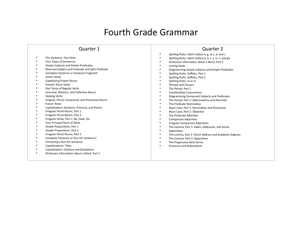### Fourth Grade Grammar

Quarter 2

#### Quarter 1

• The Sentence: Two Parts • Four Types of Sentences • Simple Subjects and Simple Predicates • Reversed Subject and Predicate and Split Predicate • Complete Sentence or Sentence Fragment • Action Verbs • Capitalizing Proper Nouns • Present Tense Verbs • Past Tense of Regular Verbs • Concrete, Abstract, and Collective Nouns • Helping Verbs • Singular, Plural, Compound, and Possessive Nouns • Future Tense • Capitalization: Sentence, Pronoun, and Poetry • Irregular Plural Nouns, Part 1 • Irregular Plural Nouns, Part 2 • Irregular Verbs, Part 1: Be, Have, Do<br>• Eour Principal Parts of Verbs • Four Principal Parts of Verbs • Simple Prepositions, Part 1 • Simple Prepositions, Part 2 • Irregular Plural Nouns, Part 3 • Complete Sentence or Run-On Sentence? • Correcting a Run-On Sentence • Capitalizations: Titles • Capitalization: Outlines and Quotations<br>• Dictionary Information about a Word, P • Dictionary Information about a Word, Part 1 • Spelling Rules: Silent Letters k, g, w, t, d, and c • Spelling Rules: Silent Letters p, b, l, u, h, n, and gh • Dictionary Information about a Word, Part 2 • Linking Verbs • Diagramming Simple Subjects and Simple Predicates • Spelling Rules: Suffixes, Part 1 • Spelling Rules: Suffixes, Part 2 • Spelling Rules: ie or ei • Phrases and Clauses The Period, Part 1 • Coordinating Conjunctions • Diagramming Compound Subjects and Predicates • The Period, Part 2: Abbreviations and Decimals • The Predicate Nominative • Noun Case, Part 1: Nominative and Possessive • Noun Case, Part 2: Objective The Predicate Adjective • Comparison Adjectives • Irregular Comparison Adjectives • The Comma, Part 1: Dates, Addresses, and Series **Appositives** • The comma, Part 2: Direct Address and Academic Degrees • The Comma, Part 3: Appositives The Progressive Verb Forms • Pronouns and Antecedents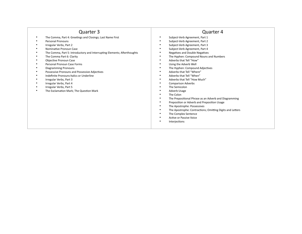#### Quarter 3

- The Comma, Part 4: Greetings and Closings; Last Name First
- Personal Pronouns<br>• Irrogular Verbs, Par
- Irregular Verbs, Part 2
- Nominative Pronoun Case
- The Comma, Part 5: Introductory and Interrupting Elements; Afterthoughts<br>• The Comma Part 6: Clarity
- The Comma Part 6: Clarity
- Objective Pronoun Case
- Personal Pronoun Case Forms
- Diagramming Pronouns
- Possessive Pronouns and Possessive Adjectives
- Indefinite Pronouns Italics or Underline
- Irregular Verbs, Part 3
- Irregular Verbs, Part 4
- Irregular Verbs, Part 5<br>• The Exclamation Mark
- The Exclamation Mark; The Question Mark

- Subject-Verb Agreement, Part 1
- Subject-Verb Agreement, Part 2
- Subject-Verb Agreement, Part 3
- Subject-Verb Agreement, Part 4
- Negatives and Double Negatives
- The Hyphen: Compound Nouns and Numbers
- Adverbs that Tell "How"
- Using the Adverb Well
- The Hyphen: Compound Adjectives
- Adverbs that Tell "Where"
- Adverbs that Tell "When"
- Adverbs that Tell "How Much"
- Comparison Adverbs
- The Semicolon
- Adverb Usage
- The Colon
- The Prepositional Phrase as an Adverb and Diagramming
- Preposition or Adverb and Preposition Usage
- The Apostrophe: Possessives
- The Apostrophe: Contractions; Omitting Digits and Letters
- The Complex Sentence
- Active or Passive Voice
- **Interjections**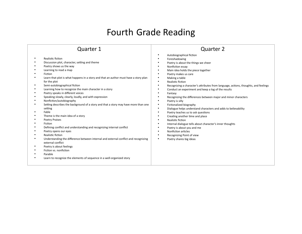## Fourth Grade Reading

| <b>Quarter 1</b>                                                                                                                                                                                                                                                                                                                                                                                                                                                                                                                                                                                                                                                                                                                                                                                                                                                                                                                                                                                                                                                                            | <b>Quarter 2</b>                                                                                                                                                                                                                                                                                                                                                                                                                                                                                                                                                                                                                                                                                                                                                                                                                                                                                                                                                                                                                                                                                |
|---------------------------------------------------------------------------------------------------------------------------------------------------------------------------------------------------------------------------------------------------------------------------------------------------------------------------------------------------------------------------------------------------------------------------------------------------------------------------------------------------------------------------------------------------------------------------------------------------------------------------------------------------------------------------------------------------------------------------------------------------------------------------------------------------------------------------------------------------------------------------------------------------------------------------------------------------------------------------------------------------------------------------------------------------------------------------------------------|-------------------------------------------------------------------------------------------------------------------------------------------------------------------------------------------------------------------------------------------------------------------------------------------------------------------------------------------------------------------------------------------------------------------------------------------------------------------------------------------------------------------------------------------------------------------------------------------------------------------------------------------------------------------------------------------------------------------------------------------------------------------------------------------------------------------------------------------------------------------------------------------------------------------------------------------------------------------------------------------------------------------------------------------------------------------------------------------------|
| Realistic fiction<br>Discussion plot, character, setting and theme<br>٠<br>Poetry shows us the way<br>Learning to read a map<br>Fiction<br>Learn that plot is what happens in a story and that an author must have a story plan<br>for the plot<br>Semi-autobiographical fiction<br>٠<br>Learning how to recognize the main character in a story<br>Poetry speaks in different voices<br>٠<br>Speaking slowly, clearly, loudly, and with expression<br>Nonfiction/autobiography<br>$\bullet$<br>Setting describes the background of a story and that a story may have more than one<br>٠<br>setting<br>Fable<br>٠<br>Theme is the main idea of a story<br>٠<br><b>Poetry Praises</b><br>Fiction<br>Defining conflict and understanding and recognizing internal conflict<br>Poetry opens our eyes<br>٠<br>Realistic fiction<br>٠<br>Understanding the difference between internal and external conflict and recognizing<br>external conflict<br>Poetry is about feelings<br>Fiction vs. nonfiction<br>٠<br>Parable<br>Learn to recognize the elements of sequence in a well-organized story | $\bullet$<br>Autobiographical fiction<br>Foreshadowing<br>$\bullet$<br>Poetry is about the things we cheer<br>$\bullet$<br>Nonfiction essay<br>$\bullet$<br>Main idea holds the piece together<br>$\bullet$<br>Poetry makes us care<br>$\bullet$<br>Making a table<br>$\bullet$<br>Realistic fiction<br>$\bullet$<br>Recognizing a character's attributes from language, actions, thoughts, and feelings<br>$\bullet$<br>Conduct an experiment and keep a log of the results<br>$\bullet$<br>Fantasy<br>Recognizing the differences between major and minor characters<br>$\bullet$<br>Poetry is silly<br>$\bullet$<br>Fictionalized biography<br>$\bullet$<br>Dialogue helps understand characters and adds to believability<br>$\bullet$<br>Poetry teaches us to ask questions<br>$\bullet$<br>Creating another time and place<br>$\bullet$<br>Realistic fiction<br>$\bullet$<br>$\bullet$<br>Internal dialogue tells about character's inner thoughts<br>Poetry is about you and me<br>Nonfiction articles<br>$\bullet$<br>Recognizing Point of view<br>$\bullet$<br>Poetry shares big ideas |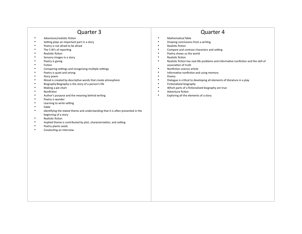### Quarter 3

- Adventure/realistic fiction
- Setting plays an important part in a story
- Poetry is not afraid to be afraid
- The 5 W's of reporting
- Realistic fiction
- Sensory images in a story
- Poetry is giving
- Fiction
- Comparing settings and recognizing multiple settings
- Poetry is quiet and strong
- Story poem
- Mood is created by descriptive words that create atmosphere
- Biography Biography is the story of a person's life
- Making a pie chart
- Nonfiction
- Author's purpose and the meaning behind writing
- Poetry is wonder
- Learning to write setting
- Fable
- Identifying the stated theme and understanding that it is often presented in the beginning of a story
- Realistic fiction
- Implied theme is contributed by plot, characterization, and setting
- Poetry plants seeds
- Conducting an interview

- Mathematical fable
- Drawing conclusions from a writing
- Realistic fiction
- Compare and contrast characters and setting
- Poetry shows us the world
- Realistic fiction
- Realistic fiction has real-life problems and informative nonfiction and the skill of association of truth
- Nonfiction science article
- Informative nonfiction and using memory
- Drama
- Dialogue is critical to developing all elements of literature in a play
- Fictionalized biography
- Which parts of a fictionalized biography are true
- Adventure fiction
- Exploring all the elements of a story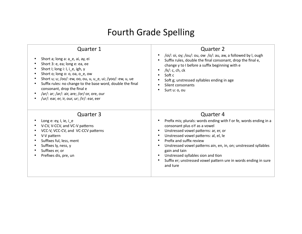# Fourth Grade Spelling

| <b>Quarter 1</b>                                                                                                                                                                                                             | Quarter 2                                                                                                                                                                                                                                                                                                                                                                                                                                                       |
|------------------------------------------------------------------------------------------------------------------------------------------------------------------------------------------------------------------------------|-----------------------------------------------------------------------------------------------------------------------------------------------------------------------------------------------------------------------------------------------------------------------------------------------------------------------------------------------------------------------------------------------------------------------------------------------------------------|
| Short a; long a: a_e, ai, ay, ei                                                                                                                                                                                             | /oi/: oi, oy; /ou/: ou, ow /o/: au, aw, a followed by I, ough                                                                                                                                                                                                                                                                                                                                                                                                   |
| Short 3: e, ea; long e: ea, ee                                                                                                                                                                                               | $\bullet$                                                                                                                                                                                                                                                                                                                                                                                                                                                       |
| Short I; long i: I, i_e, igh, y                                                                                                                                                                                              | Suffix rules, double the final consonant, drop the final e,                                                                                                                                                                                                                                                                                                                                                                                                     |
| Short o; long o: o, oa, o_e, ow                                                                                                                                                                                              | change y to I before a suffix beginning with e                                                                                                                                                                                                                                                                                                                                                                                                                  |
| Short u; u; /oo/: ew, oo, ou, u, u_e, ui; /yoo/: ew, u, ue                                                                                                                                                                   | $/k$ : c, ch, ck                                                                                                                                                                                                                                                                                                                                                                                                                                                |
| Suffix rules: no change to the base word, double the final                                                                                                                                                                   | Soft c                                                                                                                                                                                                                                                                                                                                                                                                                                                          |
| consonant, drop the final e                                                                                                                                                                                                  | Soft g; unstressed syllables ending in age                                                                                                                                                                                                                                                                                                                                                                                                                      |
| /ar/: ar; /ar/: air, are; /or/:or, ore, our                                                                                                                                                                                  | Silent consonants                                                                                                                                                                                                                                                                                                                                                                                                                                               |
| /ur/: ear, er, ir, our, ur; /ir/: ear, eer                                                                                                                                                                                   | Surt u: o, ou                                                                                                                                                                                                                                                                                                                                                                                                                                                   |
| Quarter 3<br>Long $e: ey, I, ie, i.e$<br>V-CV, V-CCV, and VC-V patterns<br>VCC-V, VCC-CV, and VC-CCV patterns<br>V-V pattern<br>Suffixes ful, less, ment<br>Suffixes ly, ness, y<br>Suffixes er, or<br>Prefixes dis, pre, un | Quarter 4<br>Prefix mis; plurals: words ending with f or fe, words ending in a<br>consonant plus oY as a vowel<br>Unstressed vowel patterns: ar, er, or<br>$\bullet$<br>Unstressed vowel patterns: al, el, le<br>Prefix and suffix review<br>$\bullet$<br>Unstressed vowel patterns ain, en, in, on; unstressed syllables<br>gain and tain<br>Unstressed syllables sion and tion<br>Suffix er; unstressed vowel pattern ure in words ending in sure<br>and ture |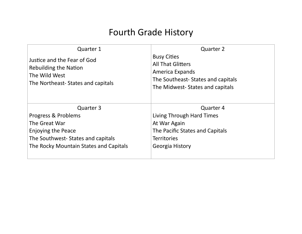### Fourth Grade History

| <b>Quarter 1</b>                                                                                           | <b>Quarter 2</b>                                                                                                                          |
|------------------------------------------------------------------------------------------------------------|-------------------------------------------------------------------------------------------------------------------------------------------|
| Justice and the Fear of God<br>Rebuilding the Nation<br>The Wild West<br>The Northeast-States and capitals | <b>Busy Cities</b><br><b>All That Glitters</b><br>America Expands<br>The Southeast-States and capitals<br>The Midwest-States and capitals |
| Quarter 3                                                                                                  | Quarter 4                                                                                                                                 |
| Progress & Problems                                                                                        | Living Through Hard Times                                                                                                                 |
| The Great War                                                                                              | At War Again                                                                                                                              |
| <b>Enjoying the Peace</b>                                                                                  | The Pacific States and Capitals                                                                                                           |
| The Southwest-States and capitals                                                                          | <b>Territories</b>                                                                                                                        |
| The Rocky Mountain States and Capitals                                                                     | Georgia History                                                                                                                           |